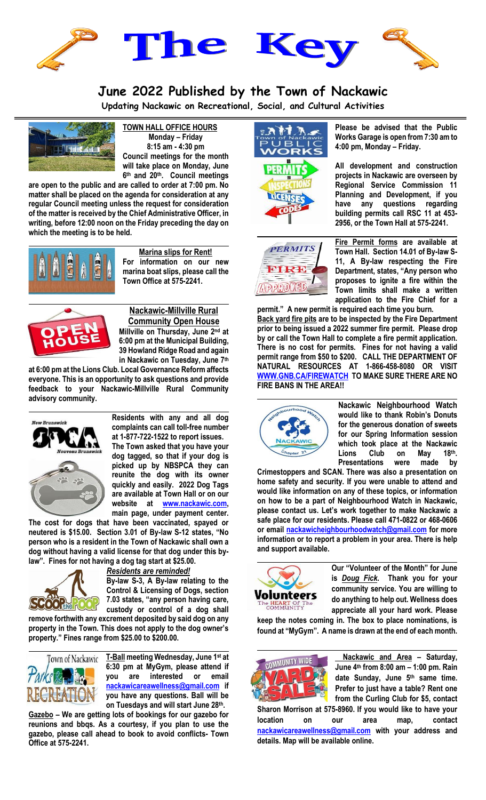

## **June 2022 Published by the Town of Nackawic**

**Updating Nackawic on Recreational, Social, and Cultural Activities**



**TOWN HALL OFFICE HOURS Monday – Friday 8:15 am - 4:30 pm Council meetings for the month will take place on Monday, June 6 th and 20th. Council meetings** 

**are open to the public and are called to order at 7:00 pm. No matter shall be placed on the agenda for consideration at any regular Council meeting unless the request for consideration of the matter is received by the Chief Administrative Officer, in writing, before 12:00 noon on the Friday preceding the day on which the meeting is to be held.**



**Marina slips for Rent! For information on our new marina boat slips, please call the Town Office at 575-2241.**



**Nackawic-Millville Rural Community Open House Millville on Thursday, June 2nd at 6:00 pm at the Municipal Building, 39 Howland Ridge Road and again in Nackawic on Tuesday, June 7th**

**at 6:00 pm at the Lions Club. Local Governance Reform affects everyone. This is an opportunity to ask questions and provide feedback to your Nackawic-Millville Rural Community advisory community.**



**Residents with any and all dog complaints can call toll-free number at 1-877-722-1522 to report issues. The Town asked that you have your dog tagged, so that if your dog is picked up by NBSPCA they can reunite the dog with its owner quickly and easily. 2022 Dog Tags are available at Town Hall or on our website at [www.nackawic.com,](http://www.nackawic.com/) main page, under payment center.** 

**The cost for dogs that have been vaccinated, spayed or neutered is \$15.00. Section 3.01 of By-law S-12 states, "No person who is a resident in the Town of Nackawic shall own a dog without having a valid license for that dog under this bylaw". Fines for not having a dog tag start at \$25.00.** 



*Residents are reminded!* 

**By-law S-3, A By-law relating to the Control & Licensing of Dogs, section 7.03 states, "any person having care, custody or control of a dog shall** 

**remove forthwith any excrement deposited by said dog on any property in the Town. This does not apply to the dog owner's property." Fines range from \$25.00 to \$200.00.**



**T-Ball meeting Wednesday, June 1st at 6:30 pm at MyGym, please attend if you are interested or email [nackawicareawellness@gmail.com](mailto:nackawicareawellness@gmail.com) if you have any questions. Ball will be on Tuesdays and will start June 28th.**

**Gazebo – We are getting lots of bookings for our gazebo for reunions and bbqs. As a courtesy, if you plan to use the gazebo, please call ahead to book to avoid conflicts- Town Office at 575-2241.**





**Please be advised that the Public Works Garage is open from 7:30 am to 4:00 pm, Monday – Friday.**

**All development and construction projects in Nackawic are overseen by Regional Service Commission 11 Planning and Development, if you have any questions regarding building permits call RSC 11 at 453- 2956, or the Town Hall at 575-2241.** 



**permit." A new permit is required each time you burn. Back yard fire pits are to be inspected by the Fire Department prior to being issued a 2022 summer fire permit. Please drop by or call the Town Hall to complete a fire permit application. There is no cost for permits. Fines for not having a valid permit range from \$50 to \$200. CALL THE DEPARTMENT OF NATURAL RESOURCES AT 1-866-458-8080 OR VISIT [WWW.GNB.CA/FIREWATCH](http://www.gnb.ca/firewatch) TO MAKE SURE THERE ARE NO FIRE BANS IN THE AREA!!**



**Nackawic Neighbourhood Watch would like to thank Robin's Donuts for the generous donation of sweets for our Spring Information session which took place at the Nackawic Lions Club on May 18th. Presentations were made by** 

**Crimestoppers and SCAN. There was also a presentation on home safety and security. If you were unable to attend and would like information on any of these topics, or information on how to be a part of Neighbourhood Watch in Nackawic, please contact us. Let's work together to make Nackawic a safe place for our residents. Please call 471-0822 or 468-0606 or email [nackawicheighbourhoodwatch@gmail.com](mailto:nackawicheighbourhoodwatch@gmail.com) for more information or to report a problem in your area. There is help and support available.**



**Our "Volunteer of the Month" for June is** *Doug Fick***. Thank you for your community service. You are willing to do anything to help out. Wellness does appreciate all your hard work. Please** 

**keep the notes coming in. The box to place nominations, is found at "MyGym". A name is drawn at the end of each month.**



**Nackawic and Area – Saturday, June 4th from 8:00 am – 1:00 pm. Rain date Sunday, June 5th same time. Prefer to just have a table? Rent one from the Curling Club for \$5, contact** 

**Sharon Morrison at 575-8960. If you would like to have your location on our area map, contact [nackawicareawellness@gmail.com](mailto:nackawicareawellness@gmail.com) with your address and details. Map will be available online.**